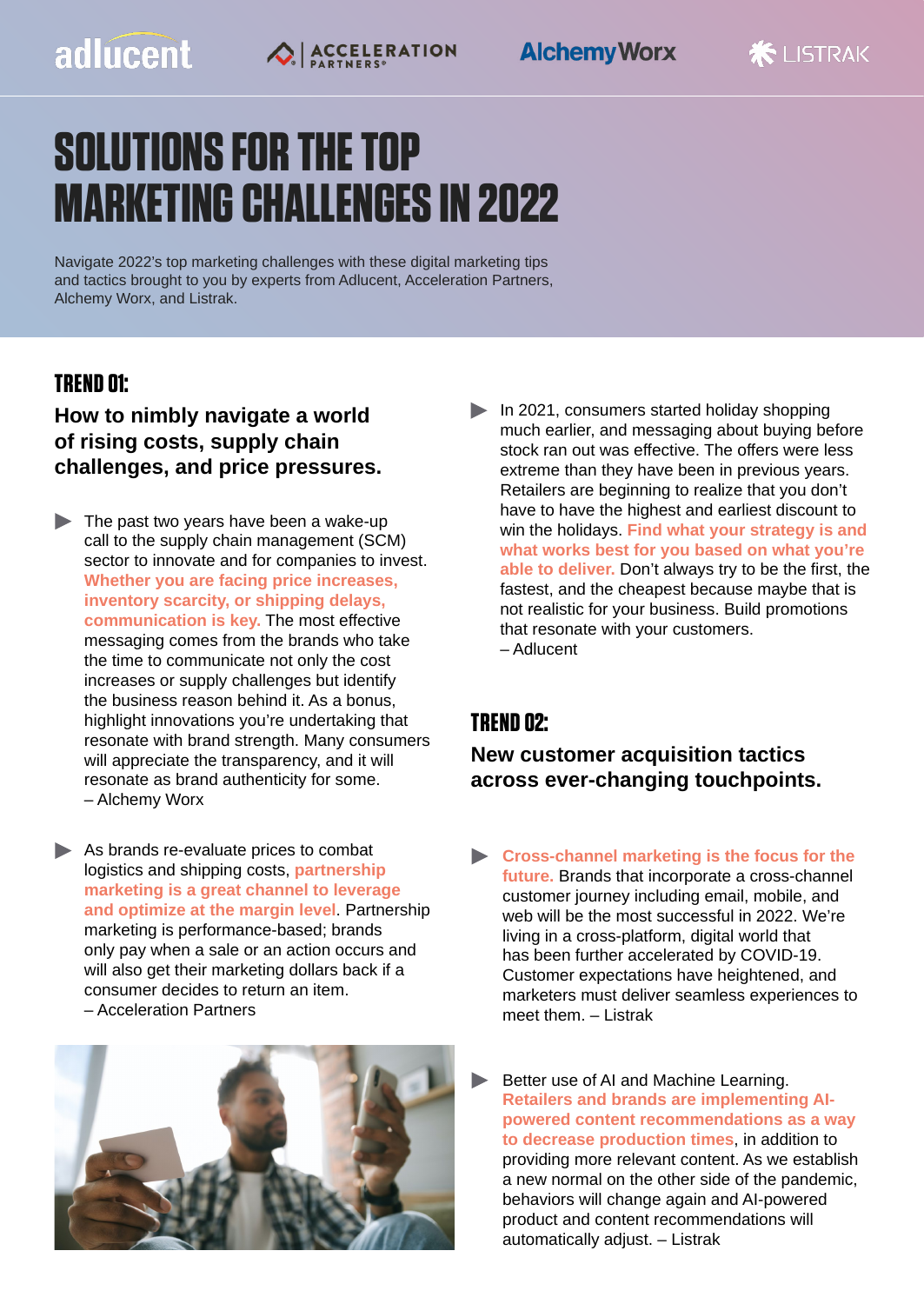## adlucent



# **SOLUTIONS FOR THE TOP MARKETING CHALLENGES IN 2022**

Navigate 2022's top marketing challenges with these digital marketing tips and tactics brought to you by experts from Adlucent, Acceleration Partners, Alchemy Worx, and Listrak.

#### **TREND 01:**

**How to nimbly navigate a world of rising costs, supply chain challenges, and price pressures.**

- $\blacktriangleright$  The past two years have been a wake-up call to the supply chain management (SCM) sector to innovate and for companies to invest. **Whether you are facing price increases, inventory scarcity, or shipping delays, communication is key.** The most effective messaging comes from the brands who take the time to communicate not only the cost increases or supply challenges but identify the business reason behind it. As a bonus, highlight innovations you're undertaking that resonate with brand strength. Many consumers will appreciate the transparency, and it will resonate as brand authenticity for some. – Alchemy Worx
- As brands re-evaluate prices to combat logistics and shipping costs, **partnership marketing is a great channel to leverage and optimize at the margin level**. Partnership marketing is performance-based; brands only pay when a sale or an action occurs and will also get their marketing dollars back if a consumer decides to return an item. – Acceleration Partners



In 2021, consumers started holiday shopping much earlier, and messaging about buying before stock ran out was effective. The offers were less extreme than they have been in previous years. Retailers are beginning to realize that you don't have to have the highest and earliest discount to win the holidays. **Find what your strategy is and what works best for you based on what you're able to deliver.** Don't always try to be the first, the fastest, and the cheapest because maybe that is not realistic for your business. Build promotions that resonate with your customers. – Adlucent

#### **TREND 02:**

**New customer acquisition tactics across ever-changing touchpoints.**

- **Cross-channel marketing is the focus for the future.** Brands that incorporate a cross-channel customer journey including email, mobile, and web will be the most successful in 2022. We're living in a cross-platform, digital world that has been further accelerated by COVID-19. Customer expectations have heightened, and marketers must deliver seamless experiences to meet them. – Listrak
- Better use of AI and Machine Learning. **Retailers and brands are implementing AIpowered content recommendations as a way to decrease production times**, in addition to providing more relevant content. As we establish a new normal on the other side of the pandemic, behaviors will change again and AI-powered product and content recommendations will automatically adjust. – Listrak